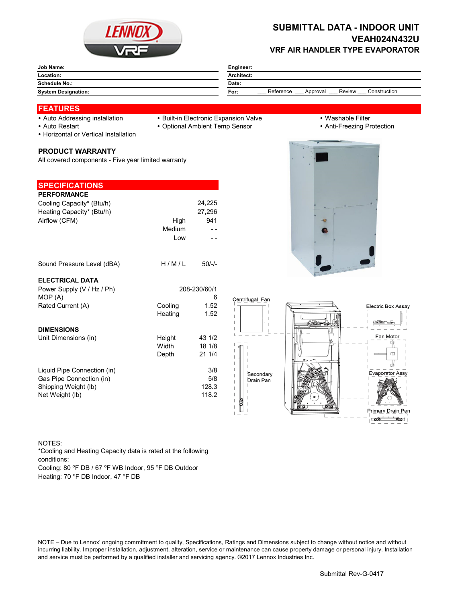

# **SUBMITTAL DATA - INDOOR UNIT VEAH024N432U VRF AIR HANDLER TYPE EVAPORATOR**

| Architect:                                              |  |  |  |
|---------------------------------------------------------|--|--|--|
| Date:                                                   |  |  |  |
| Reference<br>Review<br>Construction<br>For:<br>Approval |  |  |  |
|                                                         |  |  |  |

#### **FEATURES**

- 
- 
- Auto Addressing installation Built-in Electronic Expansion Valve Washable Filter
- Auto Restart **Cauca Community Community Community Community Community Community Community Community Community Community Community Community Community Community Community Community Community Community Community Community**
- Horizontal or Vertical Installation

#### **PRODUCT WARRANTY**

All covered components - Five year limited warranty

# **SPECIFICATIONS**

| <b>PERFORMANCE</b>        |        |        |
|---------------------------|--------|--------|
| Cooling Capacity* (Btu/h) |        | 24.225 |
| Heating Capacity* (Btu/h) |        | 27,296 |
| Airflow (CFM)             | High   | 941    |
|                           | Medium |        |
|                           | Low    |        |
|                           |        |        |
|                           |        |        |

### **ELECTRIC**

| Sound Pressure Level (dBA)  | H/M/L        | $50/-$ |                        |  |
|-----------------------------|--------------|--------|------------------------|--|
| <b>ELECTRICAL DATA</b>      |              |        |                        |  |
| Power Supply (V / Hz / Ph)  | 208-230/60/1 |        |                        |  |
| MOP(A)                      |              | 6      | Centrifugal Fan        |  |
| Rated Current (A)           | Cooling      | 1.52   |                        |  |
|                             | Heating      | 1.52   |                        |  |
| <b>DIMENSIONS</b>           |              |        |                        |  |
| Unit Dimensions (in)        | Height       | 43 1/2 |                        |  |
|                             | Width        | 18 1/8 |                        |  |
|                             | Depth        | 211/4  |                        |  |
|                             |              |        |                        |  |
| Liquid Pipe Connection (in) |              | 3/8    |                        |  |
| Gas Pipe Connection (in)    |              | 5/8    | Secondary<br>Drain Pan |  |
| Shipping Weight (lb)        |              | 128.3  |                        |  |
| Net Weight (lb)             |              | 118.2  |                        |  |
|                             |              |        |                        |  |



#### NOTES:

\*Cooling and Heating Capacity data is rated at the following conditions:

Cooling: 80 °F DB / 67 °F WB Indoor, 95 °F DB Outdoor

Heating: 70 °F DB Indoor, 47 °F DB

NOTE – Due to Lennox' ongoing commitment to quality, Specifications, Ratings and Dimensions subject to change without notice and without incurring liability. Improper installation, adjustment, alteration, service or maintenance can cause property damage or personal injury. Installation and service must be performed by a qualified installer and servicing agency. ©2017 Lennox Industries Inc.